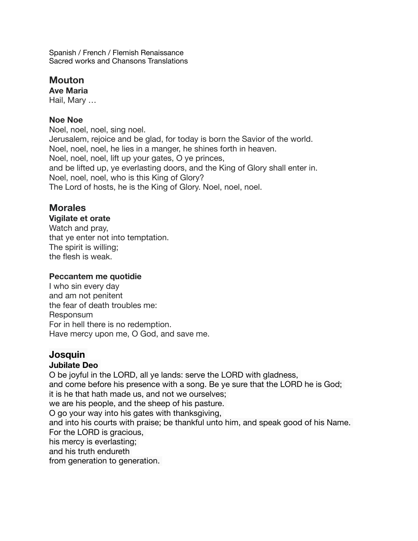Spanish / French / Flemish Renaissance Sacred works and Chansons Translations

# **Mouton**

**Ave Maria**  Hail, Mary …

#### **Noe Noe**

Noel, noel, noel, sing noel. Jerusalem, rejoice and be glad, for today is born the Savior of the world. Noel, noel, noel, he lies in a manger, he shines forth in heaven. Noel, noel, noel, lift up your gates, O ye princes, and be lifted up, ye everlasting doors, and the King of Glory shall enter in. Noel, noel, noel, who is this King of Glory? The Lord of hosts, he is the King of Glory. Noel, noel, noel.

# **Morales**

#### **Vigilate et orate**

Watch and pray, that ye enter not into temptation. The spirit is willing; the flesh is weak.

#### **Peccantem me quotidie**

I who sin every day and am not penitent the fear of death troubles me: Responsum For in hell there is no redemption. Have mercy upon me, O God, and save me.

# **Josquin**

#### **Jubilate Deo**

O be joyful in the LORD, all ye lands: serve the LORD with gladness, and come before his presence with a song. Be ye sure that the LORD he is God; it is he that hath made us, and not we ourselves; we are his people, and the sheep of his pasture. O go your way into his gates with thanksgiving, and into his courts with praise; be thankful unto him, and speak good of his Name. For the LORD is gracious, his mercy is everlasting; and his truth endureth from generation to generation.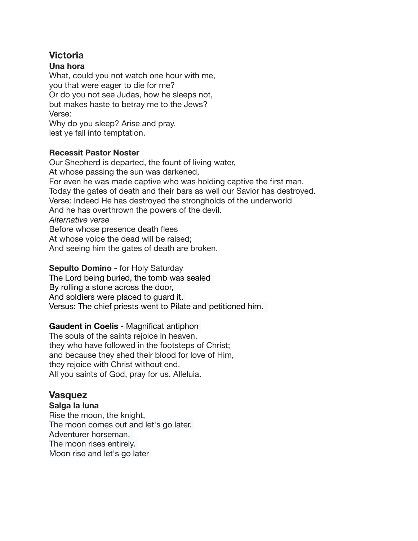# **Victoria**

#### **Una hora**

What, could you not watch one hour with me, you that were eager to die for me? Or do you not see Judas, how he sleeps not, but makes haste to betray me to the Jews? Verse: Why do you sleep? Arise and pray, lest ye fall into temptation.

#### **Recessit Pastor Noster**

Our Shepherd is departed, the fount of living water, At whose passing the sun was darkened, For even he was made captive who was holding captive the first man. Today the gates of death and their bars as well our Savior has destroyed. Verse: Indeed He has destroyed the strongholds of the underworld And he has overthrown the powers of the devil. *Alternative verse*  Before whose presence death flees At whose voice the dead will be raised; And seeing him the gates of death are broken.

#### **Sepulto Domino** - for Holy Saturday

The Lord being buried, the tomb was sealed By rolling a stone across the door, And soldiers were placed to guard it. Versus: The chief priests went to Pilate and petitioned him.

#### **Gaudent in Coelis** - Magnificat antiphon

The souls of the saints rejoice in heaven, they who have followed in the footsteps of Christ; and because they shed their blood for love of Him, they rejoice with Christ without end. All you saints of God, pray for us. Alleluia.

# **Vasquez**

#### **Salga la luna**

Rise the moon, the knight, The moon comes out and let's go later. Adventurer horseman, The moon rises entirely. Moon rise and let's go later